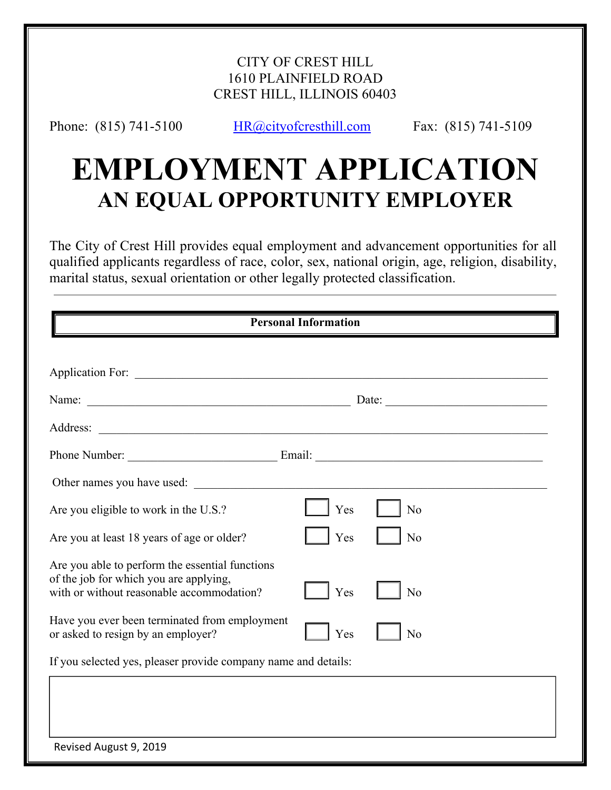## CITY OF CREST HILL 1610 PLAINFIELD ROAD CREST HILL, ILLINOIS 60403

Phone: (815) 741-5100 HR@cityofcresthill.com Fax: (815) 741-5109

# **EMPLOYMENT APPLICATION AN EQUAL OPPORTUNITY EMPLOYER**

The City of Crest Hill provides equal employment and advancement opportunities for all qualified applicants regardless of race, color, sex, national origin, age, religion, disability, marital status, sexual orientation or other legally protected classification.

| <b>Personal Information</b>                                                                                                                                                                                                    |     |                |  |
|--------------------------------------------------------------------------------------------------------------------------------------------------------------------------------------------------------------------------------|-----|----------------|--|
|                                                                                                                                                                                                                                |     |                |  |
|                                                                                                                                                                                                                                |     |                |  |
|                                                                                                                                                                                                                                |     |                |  |
| Address:<br><u> 1989 - Johann Harry Harry Barbara, mars and deus and deus and deus and deus and deus and deus and deus and de</u>                                                                                              |     |                |  |
|                                                                                                                                                                                                                                |     |                |  |
| Other names you have used: The same of the same of the same of the same of the same of the same of the same of the same of the same of the same of the same of the same of the same of the same of the same of the same of the |     |                |  |
| Are you eligible to work in the U.S.?                                                                                                                                                                                          | Yes | No             |  |
| Are you at least 18 years of age or older?                                                                                                                                                                                     | Yes | N <sub>o</sub> |  |
| Are you able to perform the essential functions<br>of the job for which you are applying,<br>with or without reasonable accommodation?                                                                                         | Yes | N <sub>o</sub> |  |
| Have you ever been terminated from employment<br>or asked to resign by an employer?                                                                                                                                            | Yes | No             |  |
| If you selected yes, pleaser provide company name and details:                                                                                                                                                                 |     |                |  |
|                                                                                                                                                                                                                                |     |                |  |
|                                                                                                                                                                                                                                |     |                |  |
| Revised August 9, 2019                                                                                                                                                                                                         |     |                |  |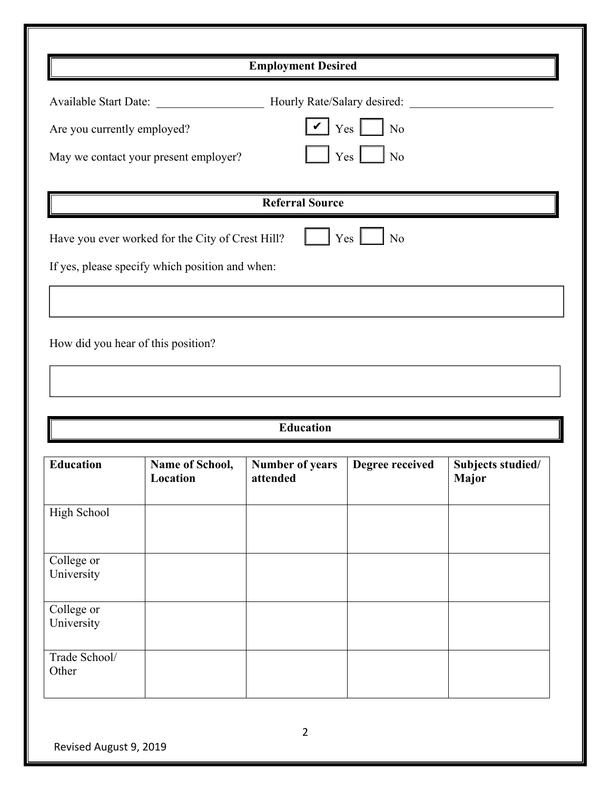| <b>Employment Desired</b>                                                                                                                                                                 |                             |                                    |                 |                            |
|-------------------------------------------------------------------------------------------------------------------------------------------------------------------------------------------|-----------------------------|------------------------------------|-----------------|----------------------------|
| Hourly Rate/Salary desired:<br><b>Available Start Date:</b><br>$\vee$ Yes $\Box$ No<br>Are you currently employed?<br>$Yes$ $\Box$<br>$\vert$ No<br>May we contact your present employer? |                             |                                    |                 |                            |
|                                                                                                                                                                                           |                             | <b>Referral Source</b>             |                 |                            |
| $Yes \perp$<br>$\rm No$<br>Have you ever worked for the City of Crest Hill?<br>If yes, please specify which position and when:<br>How did you hear of this position?                      |                             |                                    |                 |                            |
|                                                                                                                                                                                           |                             | <b>Education</b>                   |                 |                            |
| <b>Education</b>                                                                                                                                                                          | Name of School,<br>Location | <b>Number of years</b><br>attended | Degree received | Subjects studied/<br>Major |
| High School                                                                                                                                                                               |                             |                                    |                 |                            |
| College or<br>University                                                                                                                                                                  |                             |                                    |                 |                            |
| College or<br>University                                                                                                                                                                  |                             |                                    |                 |                            |
| Trade School/<br>Other                                                                                                                                                                    |                             |                                    |                 |                            |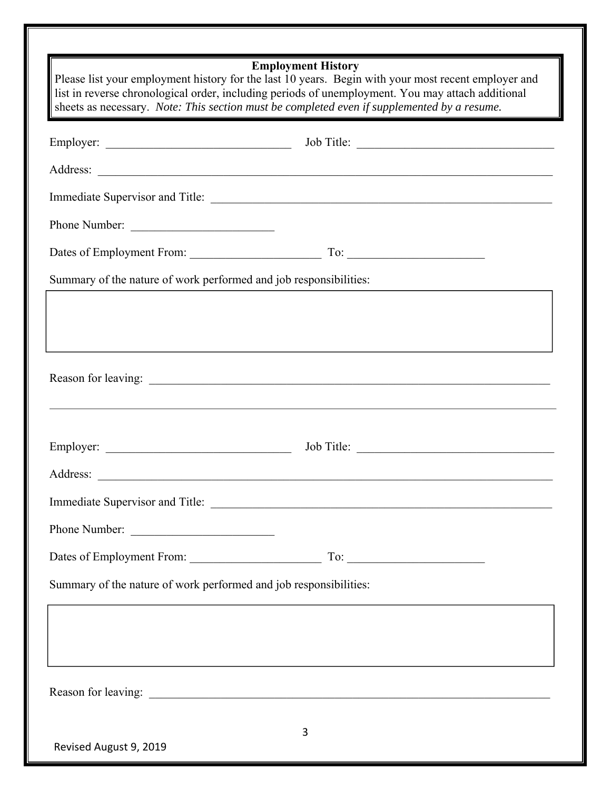| <b>Employment History</b><br>Please list your employment history for the last 10 years. Begin with your most recent employer and<br>list in reverse chronological order, including periods of unemployment. You may attach additional<br>sheets as necessary. Note: This section must be completed even if supplemented by a resume. |                                                                                  |  |  |
|--------------------------------------------------------------------------------------------------------------------------------------------------------------------------------------------------------------------------------------------------------------------------------------------------------------------------------------|----------------------------------------------------------------------------------|--|--|
|                                                                                                                                                                                                                                                                                                                                      |                                                                                  |  |  |
|                                                                                                                                                                                                                                                                                                                                      |                                                                                  |  |  |
|                                                                                                                                                                                                                                                                                                                                      |                                                                                  |  |  |
| Phone Number:                                                                                                                                                                                                                                                                                                                        |                                                                                  |  |  |
|                                                                                                                                                                                                                                                                                                                                      | Dates of Employment From: To: To: To: To:                                        |  |  |
| Summary of the nature of work performed and job responsibilities:                                                                                                                                                                                                                                                                    |                                                                                  |  |  |
|                                                                                                                                                                                                                                                                                                                                      |                                                                                  |  |  |
|                                                                                                                                                                                                                                                                                                                                      |                                                                                  |  |  |
|                                                                                                                                                                                                                                                                                                                                      |                                                                                  |  |  |
| Phone Number:                                                                                                                                                                                                                                                                                                                        |                                                                                  |  |  |
|                                                                                                                                                                                                                                                                                                                                      |                                                                                  |  |  |
| Summary of the nature of work performed and job responsibilities:                                                                                                                                                                                                                                                                    |                                                                                  |  |  |
|                                                                                                                                                                                                                                                                                                                                      | ,我们也不能会在这里,我们也不能会在这里,我们也不能会在这里,我们也不能会在这里,我们也不能会在这里,我们也不能会在这里,我们也不能会在这里,我们也不能会在这里 |  |  |
|                                                                                                                                                                                                                                                                                                                                      |                                                                                  |  |  |
| Revised August 9, 2019                                                                                                                                                                                                                                                                                                               | 3                                                                                |  |  |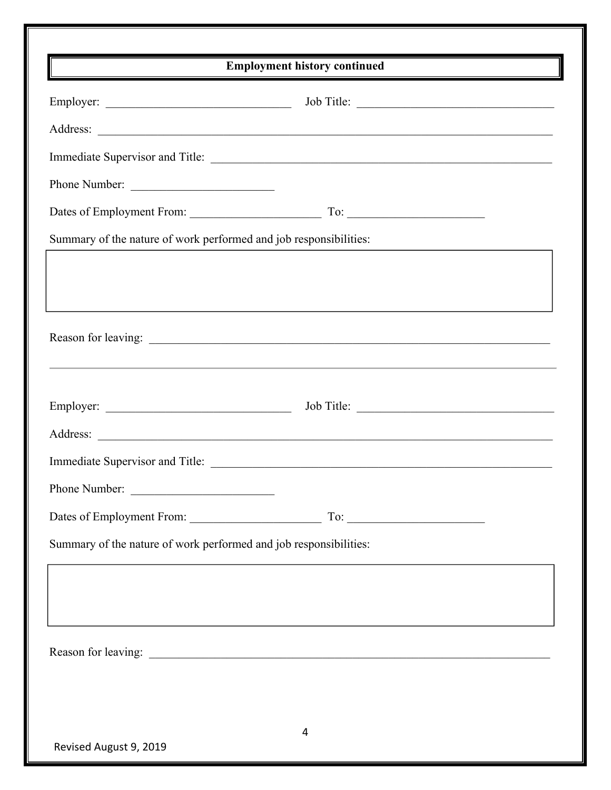| $\overline{a}$ and $\overline{a}$ are the contract of $\overline{a}$ and $\overline{a}$ and $\overline{a}$ are the contract of $\overline{a}$ | <b>Employment history continued</b>    |  |
|-----------------------------------------------------------------------------------------------------------------------------------------------|----------------------------------------|--|
|                                                                                                                                               |                                        |  |
|                                                                                                                                               |                                        |  |
|                                                                                                                                               | Immediate Supervisor and Title:        |  |
| Phone Number:                                                                                                                                 |                                        |  |
|                                                                                                                                               |                                        |  |
| Summary of the nature of work performed and job responsibilities:                                                                             |                                        |  |
|                                                                                                                                               |                                        |  |
|                                                                                                                                               |                                        |  |
|                                                                                                                                               |                                        |  |
|                                                                                                                                               |                                        |  |
|                                                                                                                                               |                                        |  |
|                                                                                                                                               |                                        |  |
|                                                                                                                                               |                                        |  |
|                                                                                                                                               | Immediate Supervisor and Title:        |  |
| Phone Number:                                                                                                                                 |                                        |  |
|                                                                                                                                               | $\begin{tabular}{c} To: \end{tabular}$ |  |
| Summary of the nature of work performed and job responsibilities:                                                                             |                                        |  |
|                                                                                                                                               |                                        |  |
|                                                                                                                                               |                                        |  |
|                                                                                                                                               |                                        |  |
|                                                                                                                                               |                                        |  |
|                                                                                                                                               |                                        |  |
|                                                                                                                                               |                                        |  |
|                                                                                                                                               | 4                                      |  |
| Revised August 9, 2019                                                                                                                        |                                        |  |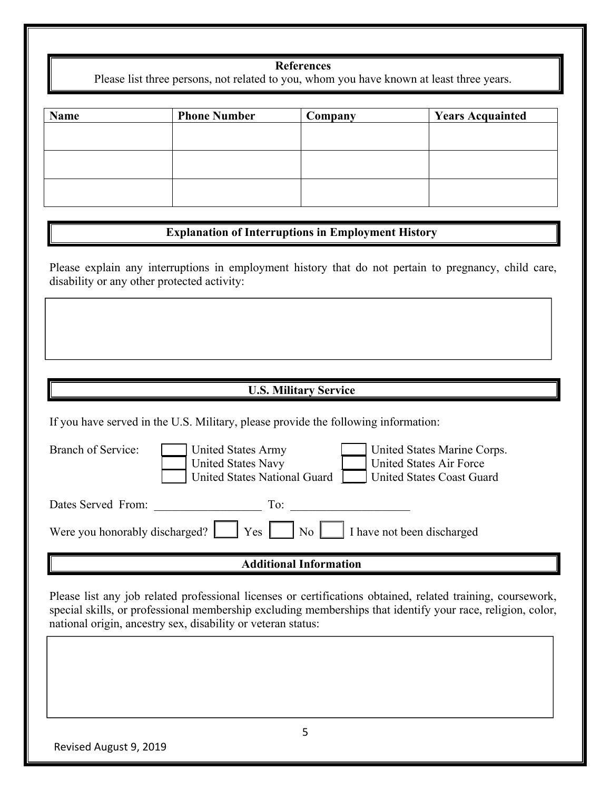#### **References**

Please list three persons, not related to you, whom you have known at least three years.

| <b>Name</b> | <b>Phone Number</b> | Company | <b>Years Acquainted</b> |
|-------------|---------------------|---------|-------------------------|
|             |                     |         |                         |
|             |                     |         |                         |
|             |                     |         |                         |
|             |                     |         |                         |
|             |                     |         |                         |
|             |                     |         |                         |

### **Explanation of Interruptions in Employment History**

Please explain any interruptions in employment history that do not pertain to pregnancy, child care, disability or any other protected activity:

#### **U.S. Military Service**

If you have served in the U.S. Military, please provide the following information:

| <b>Branch of Service:</b> | United States Army<br><b>United States Navy</b><br>United States National Guard       | United States Marine Corps.<br><b>United States Air Force</b><br>United States Coast Guard |
|---------------------------|---------------------------------------------------------------------------------------|--------------------------------------------------------------------------------------------|
| Dates Served From:        | To:                                                                                   |                                                                                            |
|                           | Were you honorably discharged? $\Box$ Yes $\Box$ No $\Box$ I have not been discharged |                                                                                            |

#### **Additional Information**

Please list any job related professional licenses or certifications obtained, related training, coursework, special skills, or professional membership excluding memberships that identify your race, religion, color, national origin, ancestry sex, disability or veteran status: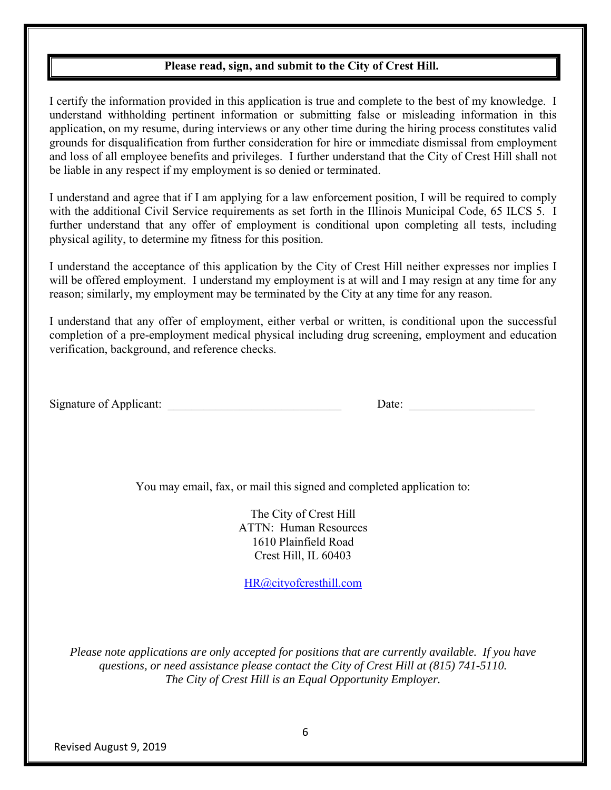### **Please read, sign, and submit to the City of Crest Hill.**

I certify the information provided in this application is true and complete to the best of my knowledge. I understand withholding pertinent information or submitting false or misleading information in this application, on my resume, during interviews or any other time during the hiring process constitutes valid grounds for disqualification from further consideration for hire or immediate dismissal from employment and loss of all employee benefits and privileges. I further understand that the City of Crest Hill shall not be liable in any respect if my employment is so denied or terminated.

I understand and agree that if I am applying for a law enforcement position, I will be required to comply with the additional Civil Service requirements as set forth in the Illinois Municipal Code, 65 ILCS 5. I further understand that any offer of employment is conditional upon completing all tests, including physical agility, to determine my fitness for this position.

I understand the acceptance of this application by the City of Crest Hill neither expresses nor implies I will be offered employment. I understand my employment is at will and I may resign at any time for any reason; similarly, my employment may be terminated by the City at any time for any reason.

I understand that any offer of employment, either verbal or written, is conditional upon the successful completion of a pre-employment medical physical including drug screening, employment and education verification, background, and reference checks.

| Signature of Applicant: |  |  |
|-------------------------|--|--|
|                         |  |  |

 $\text{Date:}$ 

You may email, fax, or mail this signed and completed application to:

The City of Crest Hill ATTN: Human Resources 1610 Plainfield Road Crest Hill, IL 60403

HR@cityofcresthill.com

*Please note applications are only accepted for positions that are currently available. If you have questions, or need assistance please contact the City of Crest Hill at (815) 741-5110. The City of Crest Hill is an Equal Opportunity Employer.*